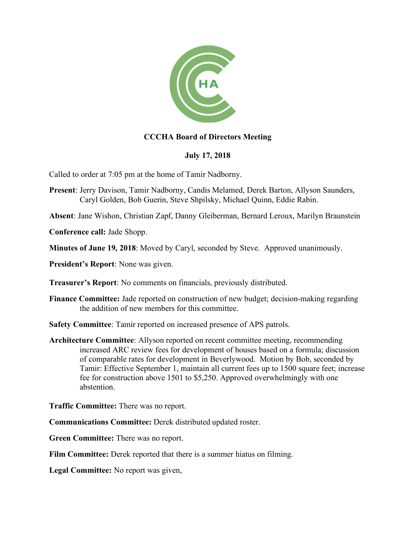

## **CCCHA Board of Directors Meeting**

## **July 17, 2018**

Called to order at 7:05 pm at the home of Tamir Nadborny.

**Present**: Jerry Davison, Tamir Nadborny, Candis Melamed, Derek Barton, Allyson Saunders, Caryl Golden, Bob Guerin, Steve Shpilsky, Michael Quinn, Eddie Rabin.

**Absent**: Jane Wishon, Christian Zapf, Danny Gleiberman, Bernard Leroux, Marilyn Braunstein

**Conference call:** Jade Shopp.

**Minutes of June 19, 2018**: Moved by Caryl, seconded by Steve. Approved unanimously.

**President's Report**: None was given.

**Treasurer's Report**: No comments on financials, previously distributed.

**Finance Committee:** Jade reported on construction of new budget; decision-making regarding the addition of new members for this committee.

**Safety Committee**: Tamir reported on increased presence of APS patrols.

**Architecture Committee**: Allyson reported on recent committee meeting, recommending increased ARC review fees for development of houses based on a formula; discussion of comparable rates for development in Beverlywood. Motion by Bob, seconded by Tamir: Effective September 1, maintain all current fees up to 1500 square feet; increase fee for construction above 1501 to \$5,250. Approved overwhelmingly with one abstention.

**Traffic Committee:** There was no report.

**Communications Committee:** Derek distributed updated roster.

**Green Committee:** There was no report.

**Film Committee:** Derek reported that there is a summer hiatus on filming.

**Legal Committee:** No report was given,